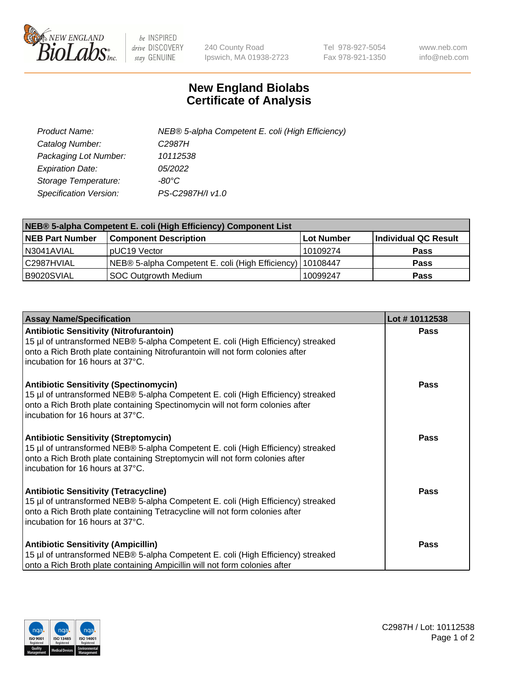

 $be$  INSPIRED drive DISCOVERY stay GENUINE

240 County Road Ipswich, MA 01938-2723 Tel 978-927-5054 Fax 978-921-1350 www.neb.com info@neb.com

## **New England Biolabs Certificate of Analysis**

| Product Name:           | NEB® 5-alpha Competent E. coli (High Efficiency) |
|-------------------------|--------------------------------------------------|
| Catalog Number:         | C <sub>2987</sub> H                              |
| Packaging Lot Number:   | 10112538                                         |
| <b>Expiration Date:</b> | <i>05/2022</i>                                   |
| Storage Temperature:    | -80°C                                            |
| Specification Version:  | PS-C2987H/I v1.0                                 |

| NEB® 5-alpha Competent E. coli (High Efficiency) Component List |                                                             |            |                      |  |
|-----------------------------------------------------------------|-------------------------------------------------------------|------------|----------------------|--|
| <b>NEB Part Number</b>                                          | <b>Component Description</b>                                | Lot Number | Individual QC Result |  |
| N3041AVIAL                                                      | pUC19 Vector                                                | 10109274   | <b>Pass</b>          |  |
| C2987HVIAL                                                      | NEB® 5-alpha Competent E. coli (High Efficiency)   10108447 |            | <b>Pass</b>          |  |
| B9020SVIAL                                                      | SOC Outgrowth Medium                                        | 10099247   | <b>Pass</b>          |  |

| <b>Assay Name/Specification</b>                                                                                                                                                                                                                          | Lot #10112538 |
|----------------------------------------------------------------------------------------------------------------------------------------------------------------------------------------------------------------------------------------------------------|---------------|
| <b>Antibiotic Sensitivity (Nitrofurantoin)</b><br>15 µl of untransformed NEB® 5-alpha Competent E. coli (High Efficiency) streaked<br>onto a Rich Broth plate containing Nitrofurantoin will not form colonies after<br>incubation for 16 hours at 37°C. | Pass          |
| <b>Antibiotic Sensitivity (Spectinomycin)</b><br>15 µl of untransformed NEB® 5-alpha Competent E. coli (High Efficiency) streaked<br>onto a Rich Broth plate containing Spectinomycin will not form colonies after<br>incubation for 16 hours at 37°C.   | Pass          |
| Antibiotic Sensitivity (Streptomycin)<br>15 µl of untransformed NEB® 5-alpha Competent E. coli (High Efficiency) streaked<br>onto a Rich Broth plate containing Streptomycin will not form colonies after<br>incubation for 16 hours at 37°C.            | Pass          |
| <b>Antibiotic Sensitivity (Tetracycline)</b><br>15 µl of untransformed NEB® 5-alpha Competent E. coli (High Efficiency) streaked<br>onto a Rich Broth plate containing Tetracycline will not form colonies after<br>incubation for 16 hours at 37°C.     | Pass          |
| <b>Antibiotic Sensitivity (Ampicillin)</b><br>15 µl of untransformed NEB® 5-alpha Competent E. coli (High Efficiency) streaked<br>onto a Rich Broth plate containing Ampicillin will not form colonies after                                             | Pass          |